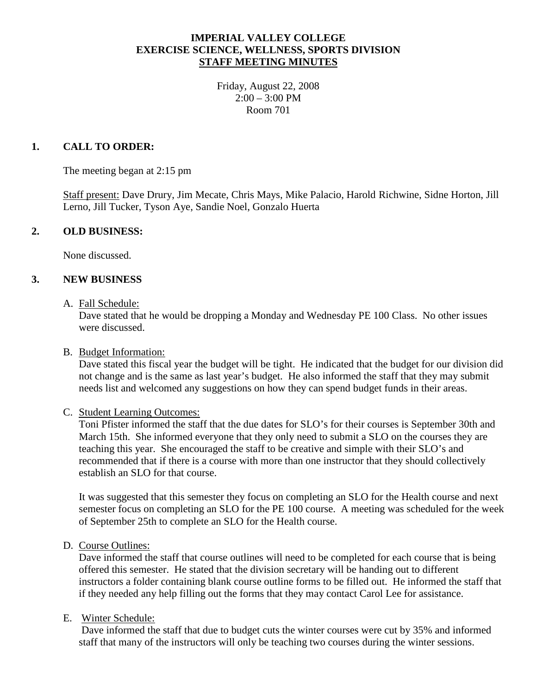## **IMPERIAL VALLEY COLLEGE EXERCISE SCIENCE, WELLNESS, SPORTS DIVISION STAFF MEETING MINUTES**

Friday, August 22, 2008  $2:00 - 3:00$  PM Room 701

## **1. CALL TO ORDER:**

The meeting began at 2:15 pm

Staff present: Dave Drury, Jim Mecate, Chris Mays, Mike Palacio, Harold Richwine, Sidne Horton, Jill Lerno, Jill Tucker, Tyson Aye, Sandie Noel, Gonzalo Huerta

### **2. OLD BUSINESS:**

None discussed.

### **3. NEW BUSINESS**

A. Fall Schedule:

Dave stated that he would be dropping a Monday and Wednesday PE 100 Class. No other issues were discussed.

#### B. Budget Information:

Dave stated this fiscal year the budget will be tight. He indicated that the budget for our division did not change and is the same as last year's budget. He also informed the staff that they may submit needs list and welcomed any suggestions on how they can spend budget funds in their areas.

#### C. Student Learning Outcomes:

Toni Pfister informed the staff that the due dates for SLO's for their courses is September 30th and March 15th. She informed everyone that they only need to submit a SLO on the courses they are teaching this year. She encouraged the staff to be creative and simple with their SLO's and recommended that if there is a course with more than one instructor that they should collectively establish an SLO for that course.

It was suggested that this semester they focus on completing an SLO for the Health course and next semester focus on completing an SLO for the PE 100 course. A meeting was scheduled for the week of September 25th to complete an SLO for the Health course.

D. Course Outlines:

Dave informed the staff that course outlines will need to be completed for each course that is being offered this semester. He stated that the division secretary will be handing out to different instructors a folder containing blank course outline forms to be filled out. He informed the staff that if they needed any help filling out the forms that they may contact Carol Lee for assistance.

### E. Winter Schedule:

Dave informed the staff that due to budget cuts the winter courses were cut by 35% and informed staff that many of the instructors will only be teaching two courses during the winter sessions.